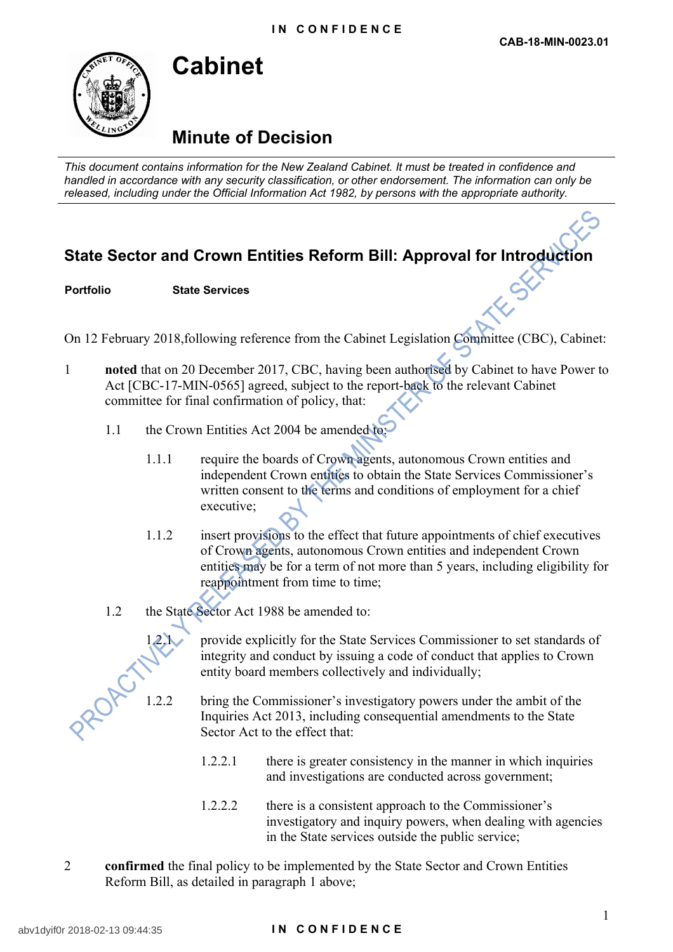

**Cabinet**

**Minute of Decision**

*This document contains information for the New Zealand Cabinet. It must be treated in confidence and handled in accordance with any security classification, or other endorsement. The information can only be released, including under the Official Information Act 1982, by persons with the appropriate authority.*

## **State Sector and Crown Entities Reform Bill: Approval for Introduction**

**Portfolio State Services**

On 12 February 2018,following reference from the Cabinet Legislation Committee (CBC), Cabinet:

- 1 **noted** that on 20 December 2017, CBC, having been authorised by Cabinet to have Power to Act [CBC-17-MIN-0565] agreed, subject to the report-back to the relevant Cabinet committee for final confirmation of policy, that:
	- 1.1 the Crown Entities Act 2004 be amended to:
		- 1.1.1 require the boards of Crown agents, autonomous Crown entities and independent Crown entities to obtain the State Services Commissioner's written consent to the terms and conditions of employment for a chief executive;
		- 1.1.2 insert provisions to the effect that future appointments of chief executives of Crown agents, autonomous Crown entities and independent Crown entities may be for a term of not more than 5 years, including eligibility for reappointment from time to time;
	- 1.2 the State Sector Act 1988 be amended to:



provide explicitly for the State Services Commissioner to set standards of integrity and conduct by issuing a code of conduct that applies to Crown entity board members collectively and individually;

- 1.2.2 bring the Commissioner's investigatory powers under the ambit of the Inquiries Act 2013, including consequential amendments to the State Sector Act to the effect that:
	- 1.2.2.1 there is greater consistency in the manner in which inquiries and investigations are conducted across government;
	- 1.2.2.2 there is a consistent approach to the Commissioner's investigatory and inquiry powers, when dealing with agencies in the State services outside the public service;
- 2 **confirmed** the final policy to be implemented by the State Sector and Crown Entities Reform Bill, as detailed in paragraph 1 above;